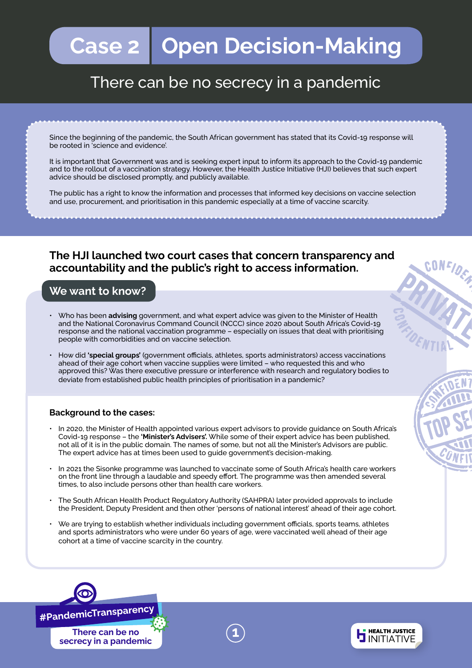# **Case 2 | Open Decision-Making**

# There can be no secrecy in a pandemic

Since the beginning of the pandemic, the South African government has stated that its Covid-19 response will be rooted in 'science and evidence'.

It is important that Government was and is seeking expert input to inform its approach to the Covid-19 pandemic and to the rollout of a vaccination strategy. However, the Health Justice Initiative (HJI) believes that such expert advice should be disclosed promptly, and publicly available.

The public has a right to know the information and processes that informed key decisions on vaccine selection and use, procurement, and prioritisation in this pandemic especially at a time of vaccine scarcity.

### **The HJI launched two court cases that concern transparency and accountability and the public's right to access information.**

### **We want to know?**

- Who has been **advising** government, and what expert advice was given to the Minister of Health and the National Coronavirus Command Council (NCCC) since 2020 about South Africa's Covid-19 response and the national vaccination programme – especially on issues that deal with prioritising people with comorbidities and on vaccine selection.
- How did **'special groups'** (government officials, athletes, sports administrators) access vaccinations ahead of their age cohort when vaccine supplies were limited – who requested this and who approved this? Was there executive pressure or interference with research and regulatory bodies to deviate from established public health principles of prioritisation in a pandemic?

### **Background to the cases:**

- In 2020, the Minister of Health appointed various expert advisors to provide guidance on South Africa's Covid-19 response – the **'Minister's Advisers'.** While some of their expert advice has been published, not all of it is in the public domain. The names of some, but not all the Minister's Advisors are public. The expert advice has at times been used to guide government's decision-making.
- In 2021 the Sisonke programme was launched to vaccinate some of South Africa's health care workers on the front line through a laudable and speedy effort. The programme was then amended several times, to also include persons other than health care workers.
- The South African Health Product Regulatory Authority (SAHPRA) later provided approvals to include the President, Deputy President and then other 'persons of national interest' ahead of their age cohort.
- We are trying to establish whether individuals including government officials, sports teams, athletes and sports administrators who were under 60 years of age, were vaccinated well ahead of their age cohort at a time of vaccine scarcity in the country.

**1**



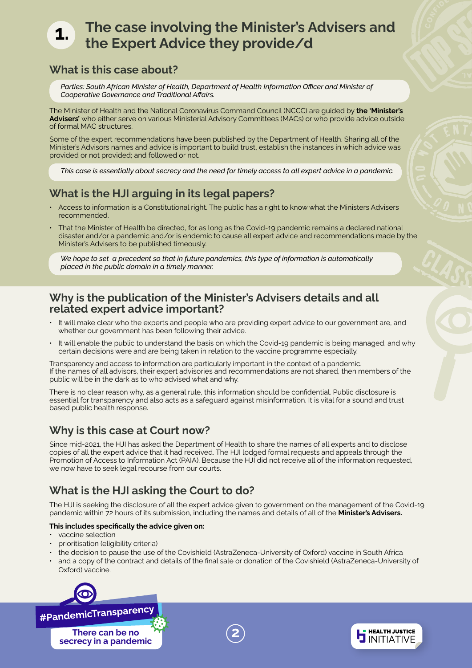# **The case involving the Minister's Advisers and the Expert Advice they provide/d**

### **What is this case about?**

**1.**

Parties: South African Minister of Health, Department of Health Information Officer and Minister of *Cooperative Governance and Traditional Affairs.* 

The Minister of Health and the National Coronavirus Command Council (NCCC) are guided by **the 'Minister's Advisers'** who either serve on various Ministerial Advisory Committees (MACs) or who provide advice outside of formal MAC structures.

Some of the expert recommendations have been published by the Department of Health. Sharing all of the Minister's Advisors names and advice is important to build trust, establish the instances in which advice was provided or not provided; and followed or not.

*This case is essentially about secrecy and the need for timely access to all expert advice in a pandemic.*

### **What is the HJI arguing in its legal papers?**

- Access to information is a Constitutional right. The public has a right to know what the Ministers Advisers recommended.
- That the Minister of Health be directed, for as long as the Covid-19 pandemic remains a declared national disaster and/or a pandemic and/or is endemic to cause all expert advice and recommendations made by the Minister's Advisers to be published timeously.

*We hope to set a precedent so that in future pandemics, this type of information is automatically placed in the public domain in a timely manner.*

### **Why is the publication of the Minister's Advisers details and all related expert advice important?**

- It will make clear who the experts and people who are providing expert advice to our government are, and whether our government has been following their advice.
- It will enable the public to understand the basis on which the Covid-19 pandemic is being managed, and why certain decisions were and are being taken in relation to the vaccine programme especially.

Transparency and access to information are particularly important in the context of a pandemic. If the names of all advisors, their expert advisories and recommendations are not shared, then members of the public will be in the dark as to who advised what and why.

There is no clear reason why, as a general rule, this information should be confidential. Public disclosure is essential for transparency and also acts as a safeguard against misinformation. It is vital for a sound and trust based public health response.

### **Why is this case at Court now?**

Since mid-2021, the HJI has asked the Department of Health to share the names of all experts and to disclose copies of all the expert advice that it had received. The HJI lodged formal requests and appeals through the Promotion of Access to Information Act (PAIA). Because the HJI did not receive all of the information requested, we now have to seek legal recourse from our courts.

## **What is the HJI asking the Court to do?**

The HJI is seeking the disclosure of all the expert advice given to government on the management of the Covid-19 pandemic within 72 hours of its submission, including the names and details of all of the **Minister's Advisers.** 

#### **This includes specifically the advice given on:**

- vaccine selection
- prioritisation (eligibility criteria)
- the decision to pause the use of the Covishield (AstraZeneca-University of Oxford) vaccine in South Africa
- and a copy of the contract and details of the final sale or donation of the Covishield (AstraZeneca-University of Oxford) vaccine.

**2**

**HEALTH JUSTICE JINITIATIVE** 



#PandemicTransparency

**There can be no secrecy in a pandemic**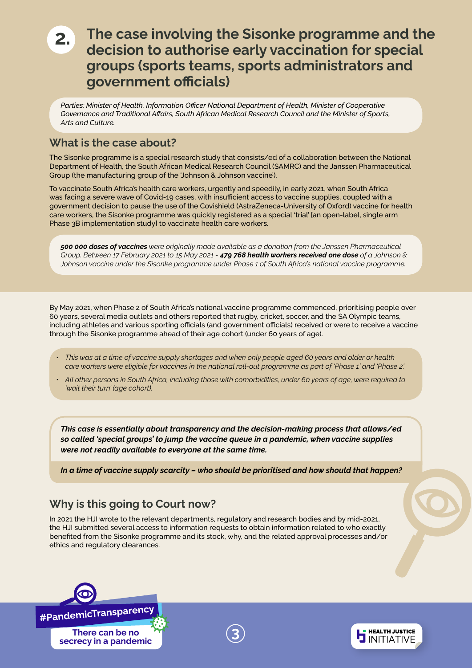# **2. The case involving the Sisonke programme and the decision to authorise early vaccination for special groups (sports teams, sports administrators and government officials)**

Parties: Minister of Health, Information Officer National Department of Health, Minister of Cooperative *Governance and Traditional Affairs, South African Medical Research Council and the Minister of Sports, Arts and Culture.*

### **What is the case about?**

The Sisonke programme is a special research study that consists/ed of a collaboration between the National Department of Health, the South African Medical Research Council (SAMRC) and the Janssen Pharmaceutical Group (the manufacturing group of the 'Johnson & Johnson vaccine').

To vaccinate South Africa's health care workers, urgently and speedily, in early 2021, when South Africa was facing a severe wave of Covid-19 cases, with insufficient access to vaccine supplies, coupled with a government decision to pause the use of the Covishield (AstraZeneca-University of Oxford) vaccine for health care workers, the Sisonke programme was quickly registered as a special 'trial' [an open-label, single arm Phase 3B implementation study] to vaccinate health care workers.

*500 000 doses of vaccines were originally made available as a donation from the Janssen Pharmaceutical Group. Between 17 February 2021 to 15 May 2021 - 479 768 health workers received one dose of a Johnson & Johnson vaccine under the Sisonke programme under Phase 1 of South Africa's national vaccine programme.*

By May 2021, when Phase 2 of South Africa's national vaccine programme commenced, prioritising people over 60 years, several media outlets and others reported that rugby, cricket, soccer, and the SA Olympic teams, including athletes and various sporting officials (and government officials) received or were to receive a vaccine through the Sisonke programme ahead of their age cohort (under 60 years of age).

- *This was at a time of vaccine supply shortages and when only people aged 60 years and older or health care workers were eligible for vaccines in the national roll-out programme as part of 'Phase 1' and 'Phase 2'.*
- *All other persons in South Africa, including those with comorbidities, under 60 years of age, were required to 'wait their turn' (age cohort).*

*This case is essentially about transparency and the decision-making process that allows/ed so called 'special groups' to jump the vaccine queue in a pandemic, when vaccine supplies were not readily available to everyone at the same time.* 

*In a time of vaccine supply scarcity – who should be prioritised and how should that happen?*

### **Why is this going to Court now?**

In 2021 the HJI wrote to the relevant departments, regulatory and research bodies and by mid-2021, the HJI submitted several access to information requests to obtain information related to who exactly benefited from the Sisonke programme and its stock, why, and the related approval processes and/or ethics and regulatory clearances.





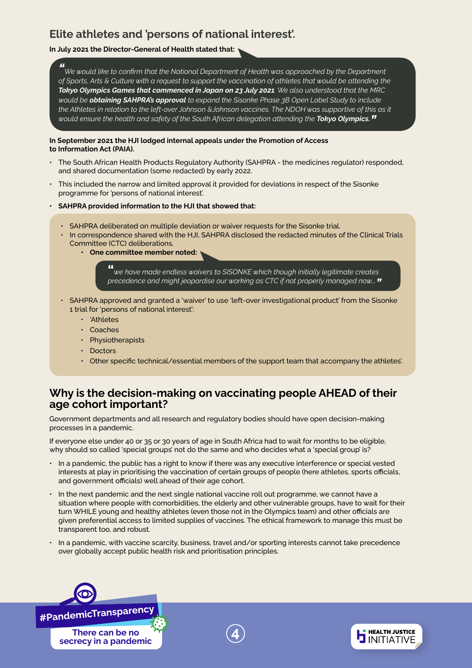### **Elite athletes and 'persons of national interest'.**

#### **In July 2021 the Director-General of Health stated that:**

*" We would like to confirm that the National Department of Health was approached by the Department of Sports, Arts & Culture with a request to support the vaccination of athletes that would be attending the Tokyo Olympics Games that commenced in Japan on 23 July 2021. We also understood that the MRC would be obtaining SAHPRA's approval to expand the Sisonke Phase 3B Open Label Study to include the Athletes in relation to the left-over Johnson &Johnson vaccines. The NDOH was supportive of this as it would ensure the health and safety of the South African delegation attending the Tokyo Olympics."* 

#### **In September 2021 the HJI lodged internal appeals under the Promotion of Access to Information Act (PAIA).**

- The South African Health Products Regulatory Authority (SAHPRA the medicines regulator) responded, and shared documentation (some redacted) by early 2022.
- This included the narrow and limited approval it provided for deviations in respect of the Sisonke programme for 'persons of national interest'.

#### **• SAHPRA provided information to the HJI that showed that:**

- SAHPRA deliberated on multiple deviation or waiver requests for the Sisonke trial.
- In correspondence shared with the HJI, SAHPRA disclosed the redacted minutes of the Clinical Trials Committee (CTC) deliberations.
	- **One committee member noted:**

**"***we have made endless waivers to SISONKE which though initially legitimate creates precedence and might jeopardise our working as CTC if not properly managed now…."* 

- SAHPRA approved and granted a 'waiver' to use 'left-over investigational product' from the Sisonke 1 trial for 'persons of national interest':
	- 'Athletes
	- Coaches
	- Physiotherapists
	- Doctors
	- Other specific technical/essential members of the support team that accompany the athletes'.

### **Why is the decision-making on vaccinating people AHEAD of their age cohort important?**

Government departments and all research and regulatory bodies should have open decision-making processes in a pandemic.

If everyone else under 40 or 35 or 30 years of age in South Africa had to wait for months to be eligible, why should so called 'special groups' not do the same and who decides what a 'special group' is?

- In a pandemic, the public has a right to know if there was any executive interference or special vested interests at play in prioritising the vaccination of certain groups of people (here athletes, sports officials, and government officials) well ahead of their age cohort.
- In the next pandemic and the next single national vaccine roll out programme, we cannot have a situation where people with comorbidities, the elderly and other vulnerable groups, have to wait for their turn WHILE young and healthy athletes (even those not in the Olympics team) and other officials are given preferential access to limited supplies of vaccines. The ethical framework to manage this must be transparent too, and robust.
- In a pandemic, with vaccine scarcity, business, travel and/or sporting interests cannot take precedence over globally accept public health risk and prioritisation principles.